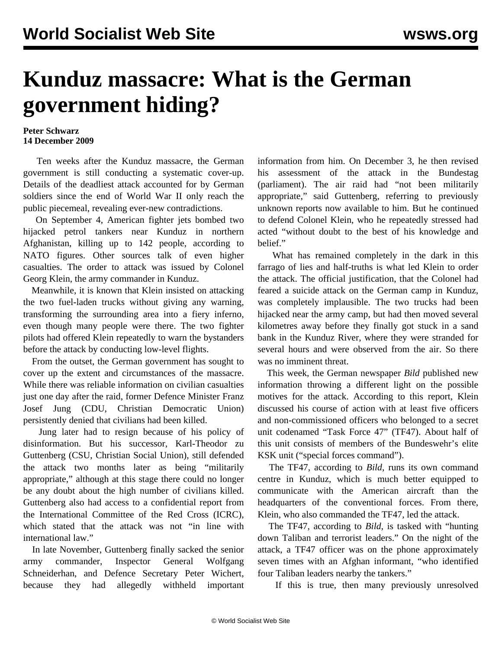## **Kunduz massacre: What is the German government hiding?**

## **Peter Schwarz 14 December 2009**

 Ten weeks after the Kunduz massacre, the German government is still conducting a systematic cover-up. Details of the deadliest attack accounted for by German soldiers since the end of World War II only reach the public piecemeal, revealing ever-new contradictions.

 On September 4, American fighter jets bombed two hijacked petrol tankers near Kunduz in northern Afghanistan, killing up to 142 people, according to NATO figures. Other sources talk of even higher casualties. The order to attack was issued by Colonel Georg Klein, the army commander in Kunduz.

 Meanwhile, it is known that Klein insisted on attacking the two fuel-laden trucks without giving any warning, transforming the surrounding area into a fiery inferno, even though many people were there. The two fighter pilots had offered Klein repeatedly to warn the bystanders before the attack by conducting low-level flights.

 From the outset, the German government has sought to cover up the extent and circumstances of the massacre. While there was reliable information on civilian casualties just one day after the raid, former Defence Minister Franz Josef Jung (CDU, Christian Democratic Union) persistently denied that civilians had been killed.

 Jung later had to resign because of his policy of disinformation. But his successor, Karl-Theodor zu Guttenberg (CSU, Christian Social Union), still defended the attack two months later as being "militarily appropriate," although at this stage there could no longer be any doubt about the high number of civilians killed. Guttenberg also had access to a confidential report from the International Committee of the Red Cross (ICRC), which stated that the attack was not "in line with international law."

 In late November, Guttenberg finally sacked the senior army commander, Inspector General Wolfgang Schneiderhan, and Defence Secretary Peter Wichert, because they had allegedly withheld important information from him. On December 3, he then revised his assessment of the attack in the Bundestag (parliament). The air raid had "not been militarily appropriate," said Guttenberg, referring to previously unknown reports now available to him. But he continued to defend Colonel Klein, who he repeatedly stressed had acted "without doubt to the best of his knowledge and belief."

 What has remained completely in the dark in this farrago of lies and half-truths is what led Klein to order the attack. The official justification, that the Colonel had feared a suicide attack on the German camp in Kunduz, was completely implausible. The two trucks had been hijacked near the army camp, but had then moved several kilometres away before they finally got stuck in a sand bank in the Kunduz River, where they were stranded for several hours and were observed from the air. So there was no imminent threat.

 This week, the German newspaper *Bild* published new information throwing a different light on the possible motives for the attack. According to this report, Klein discussed his course of action with at least five officers and non-commissioned officers who belonged to a secret unit codenamed "Task Force 47" (TF47). About half of this unit consists of members of the Bundeswehr's elite KSK unit ("special forces command").

 The TF47, according to *Bild*, runs its own command centre in Kunduz, which is much better equipped to communicate with the American aircraft than the headquarters of the conventional forces. From there, Klein, who also commanded the TF47, led the attack.

 The TF47, according to *Bild,* is tasked with "hunting down Taliban and terrorist leaders." On the night of the attack, a TF47 officer was on the phone approximately seven times with an Afghan informant, "who identified four Taliban leaders nearby the tankers."

If this is true, then many previously unresolved